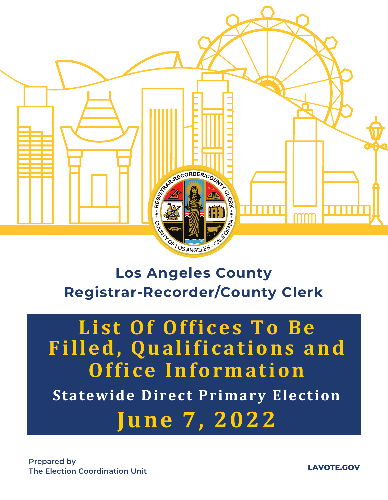

# **Los Angeles County Registrar-Recorder/County Clerk**

# **List Of Offices To Be Filled, Qualifications and Office Information Statewide Direct Primary Election June 7, 2022**

**LAVOTE.GOV**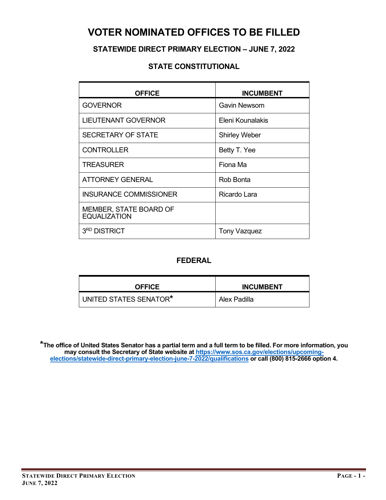### **VOTER NOMINATED OFFICES TO BE FILLED**

### **STATEWIDE DIRECT PRIMARY ELECTION – JUNE 7, 2022**

#### **STATE CONSTITUTIONAL**

| <b>OFFICE</b>                                 | <b>INCUMBENT</b>     |
|-----------------------------------------------|----------------------|
| <b>GOVERNOR</b>                               | <b>Gavin Newsom</b>  |
| <b>LIEUTENANT GOVERNOR</b>                    | Eleni Kounalakis     |
| <b>SECRETARY OF STATE</b>                     | <b>Shirley Weber</b> |
| <b>CONTROLLER</b>                             | Betty T. Yee         |
| <b>TREASURER</b>                              | Fiona Ma             |
| <b>ATTORNEY GENERAL</b>                       | Rob Bonta            |
| <b>INSURANCE COMMISSIONER</b>                 | Ricardo Lara         |
| MEMBER, STATE BOARD OF<br><b>EQUALIZATION</b> |                      |
| 3 <sup>RD</sup> DISTRICT                      | <b>Tony Vazquez</b>  |

### **FEDERAL**

| <b>OFFICE</b>          | <b>INCUMBENT</b> |
|------------------------|------------------|
| UNITED STATES SENATOR* | Alex Padilla     |

**\*The office of United States Senator has a partial term and a full term to be filled. For more information, you may consult the Secretary of State website at [https://www.sos.ca.gov/elections/upcoming](https://www.sos.ca.gov/elections/upcoming-elections/statewide-direct-primary-election-june-7-2022/qualifications)[elections/statewide-direct-primary-election-june-7-2022/qualifications](https://www.sos.ca.gov/elections/upcoming-elections/statewide-direct-primary-election-june-7-2022/qualifications) or call (800) 815-2666 option 4.**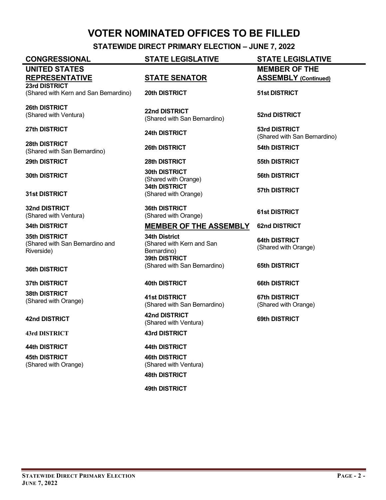### **VOTER NOMINATED OFFICES TO BE FILLED**

**STATEWIDE DIRECT PRIMARY ELECTION – JUNE 7, 2022**

**CONGRESSIONAL STATE LEGISLATIVE STATE LEGISLATIVE**

#### **UNITED STATES REPRESENTATIVE STATE SENATOR 23rd DISTRICT**

(Shared with Kern and San Bernardino) **20th DISTRICT 51st DISTRICT**

**26th DISTRICT** (Shared with Ventura) **22nd DISTRICT**

**28th DISTRICT** (Shared with San Bernardino) **26th DISTRICT 54th DISTRICT** 

**29th DISTRICT 28th DISTRICT 55th DISTRICT**

**31st DISTRICT**

**32nd DISTRICT** (Shared with Ventura)

**35th DISTRICT** (Shared with San Bernardino and Riverside)

#### **36th DISTRICT**

**37th DISTRICT 40th DISTRICT 66th DISTRICT** 

**38th DISTRICT** (Shared with Orange) **41st DISTRICT**

**43rd DISTRICT 43rd DISTRICT**

**44th DISTRICT 44th DISTRICT**

**45th DISTRICT** (Shared with Orange)

(Shared with San Bernardino) **52nd DISTRICT** 

**30th DISTRICT 30th DISTRICT** (Shared with Orange) **56th DISTRICT 34th DISTRICT** (Shared with Orange) **57th DISTRICT**

> **36th DISTRICT** (Shared with Orange) **61st DISTRICT**

#### **34th DISTRICT MEMBER OF THE ASSEMBLY 62nd DISTRICT**

**34th District** (Shared with Kern and San Bernardino) **39th DISTRICT**  (Shared with San Bernardino) **65th DISTRICT**

(Shared with San Bernardino)

**42nd DISTRICT 42nd DISTRICT** (Shared with Ventura) **69th DISTRICT** 

**46th DISTRICT** (Shared with Ventura)

**48th DISTRICT**

**49th DISTRICT** 

**MEMBER OF THE ASSEMBLY (Continued)**

**27th DISTRICT 24th DISTRICT 53rd DISTRICT** (Shared with San Bernardino)

**64th DISTRICT** (Shared with Orange)

**67th DISTRICT**  (Shared with Orange)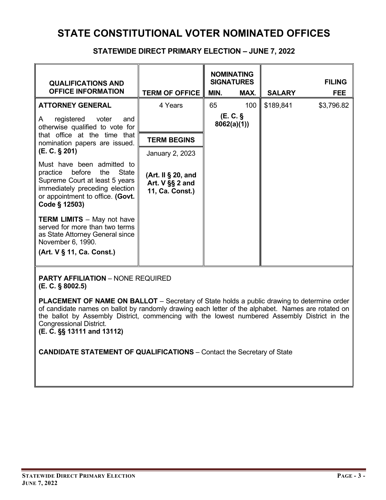#### **STATEWIDE DIRECT PRIMARY ELECTION – JUNE 7, 2022**

| <b>QUALIFICATIONS AND</b><br><b>OFFICE INFORMATION</b>                                                                                                                                 | <b>TERM OF OFFICE</b>                                    | <b>NOMINATING</b><br><b>SIGNATURES</b><br>MAX.<br>MIN. |     | <b>SALARY</b> | <b>FILING</b><br><b>FEE</b> |
|----------------------------------------------------------------------------------------------------------------------------------------------------------------------------------------|----------------------------------------------------------|--------------------------------------------------------|-----|---------------|-----------------------------|
| <b>ATTORNEY GENERAL</b>                                                                                                                                                                | 4 Years                                                  | 65                                                     | 100 | \$189,841     | \$3,796.82                  |
| registered voter<br>A<br>and<br>otherwise qualified to vote for                                                                                                                        |                                                          | (E. C.<br>8062(a)(1)                                   |     |               |                             |
| that office at the time that<br>nomination papers are issued.                                                                                                                          | <b>TERM BEGINS</b>                                       |                                                        |     |               |                             |
| (E. C. § 201)                                                                                                                                                                          | January 2, 2023                                          |                                                        |     |               |                             |
| Must have been admitted to<br>practice before<br>State<br>the<br>Supreme Court at least 5 years<br>immediately preceding election<br>or appointment to office. (Govt.<br>Code § 12503) | (Art. II § 20, and<br>Art. V §§ 2 and<br>11, Ca. Const.) |                                                        |     |               |                             |
| <b>TERM LIMITS</b> - May not have<br>served for more than two terms<br>as State Attorney General since<br>November 6, 1990.                                                            |                                                          |                                                        |     |               |                             |
| (Art. V § 11, Ca. Const.)                                                                                                                                                              |                                                          |                                                        |     |               |                             |

**PARTY AFFILIATION** – NONE REQUIRED **(E. C. § 8002.5)**

**PLACEMENT OF NAME ON BALLOT** – Secretary of State holds a public drawing to determine order of candidate names on ballot by randomly drawing each letter of the alphabet. Names are rotated on the ballot by Assembly District, commencing with the lowest numbered Assembly District in the Congressional District.

**(E. C. §§ 13111 and 13112)**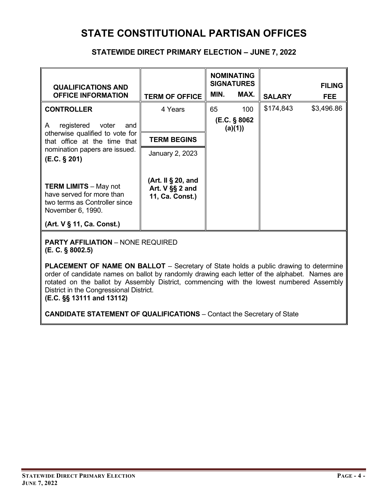### **STATE CONSTITUTIONAL PARTISAN OFFICES**

#### **STATEWIDE DIRECT PRIMARY ELECTION – JUNE 7, 2022**

| <b>QUALIFICATIONS AND</b><br><b>OFFICE INFORMATION</b>                                                          | <b>TERM OF OFFICE</b>                                    | MIN.                    | <b>NOMINATING</b><br><b>SIGNATURES</b><br>MAX. | <b>SALARY</b> | <b>FILING</b><br><b>FEE</b> |
|-----------------------------------------------------------------------------------------------------------------|----------------------------------------------------------|-------------------------|------------------------------------------------|---------------|-----------------------------|
| <b>CONTROLLER</b>                                                                                               | 4 Years                                                  | 65                      | 100                                            | \$174,843     | \$3,496.86                  |
| registered<br>voter<br>A<br>and                                                                                 |                                                          | (E.C. § 8062<br>(a)(1)) |                                                |               |                             |
| otherwise qualified to vote for<br>that office at the time that                                                 | <b>TERM BEGINS</b>                                       |                         |                                                |               |                             |
| nomination papers are issued.<br>(E.C. § 201)                                                                   | January 2, 2023                                          |                         |                                                |               |                             |
| <b>TERM LIMITS - May not</b><br>have served for more than<br>two terms as Controller since<br>November 6, 1990. | (Art. II § 20, and<br>Art. V §§ 2 and<br>11, Ca. Const.) |                         |                                                |               |                             |
| (Art. V § 11, Ca. Const.)                                                                                       |                                                          |                         |                                                |               |                             |

**PARTY AFFILIATION** – NONE REQUIRED **(E. C. § 8002.5)**

**PLACEMENT OF NAME ON BALLOT** – Secretary of State holds a public drawing to determine order of candidate names on ballot by randomly drawing each letter of the alphabet. Names are rotated on the ballot by Assembly District, commencing with the lowest numbered Assembly District in the Congressional District.

**(E.C. §§ 13111 and 13112)**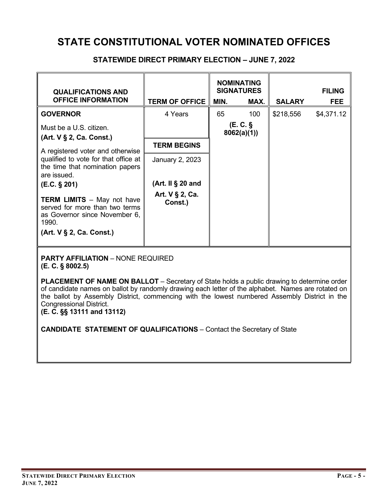### **STATEWIDE DIRECT PRIMARY ELECTION – JUNE 7, 2022**

| <b>QUALIFICATIONS AND</b><br><b>OFFICE INFORMATION</b>                                                                                    | <b>TERM OF OFFICE</b>          | MIN.                  | <b>NOMINATING</b><br><b>SIGNATURES</b><br>MAX. | <b>SALARY</b> | <b>FILING</b><br><b>FEE</b> |
|-------------------------------------------------------------------------------------------------------------------------------------------|--------------------------------|-----------------------|------------------------------------------------|---------------|-----------------------------|
| <b>GOVERNOR</b>                                                                                                                           | 4 Years                        | 65                    | 100                                            | \$218,556     | \$4,371.12                  |
| Must be a U.S. citizen.<br>(Art. V § 2, Ca. Const.)                                                                                       |                                | (E.C. §<br>8062(a)(1) |                                                |               |                             |
|                                                                                                                                           | <b>TERM BEGINS</b>             |                       |                                                |               |                             |
| A registered voter and otherwise<br>qualified to vote for that office at<br>the time that nomination papers<br>are issued.                | January 2, 2023                |                       |                                                |               |                             |
| (E.C. § 201)                                                                                                                              | (Art. II $\S$ 20 and           |                       |                                                |               |                             |
| <b>TERM LIMITS</b> - May not have<br>served for more than two terms<br>as Governor since November 6,<br>1990.<br>(Art. V § 2, Ca. Const.) | Art. $V \S 2$ , Ca.<br>Const.) |                       |                                                |               |                             |

**PARTY AFFILIATION** – NONE REQUIRED **(E. C. § 8002.5)**

**PLACEMENT OF NAME ON BALLOT** – Secretary of State holds a public drawing to determine order of candidate names on ballot by randomly drawing each letter of the alphabet. Names are rotated on the ballot by Assembly District, commencing with the lowest numbered Assembly District in the Congressional District.

**(E. C. §§ 13111 and 13112)**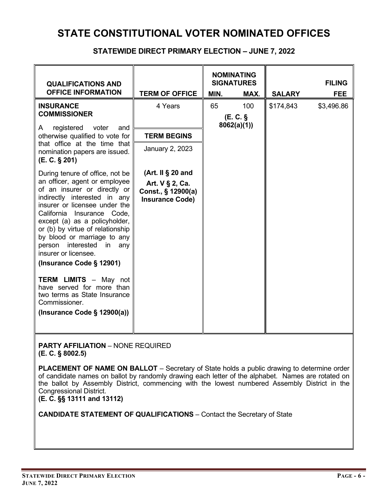#### **STATEWIDE DIRECT PRIMARY ELECTION – JUNE 7, 2022**

|                                                                                                                                                                                                                                                                                                                                                                                           |                                                                                             | <b>NOMINATING</b> |                     |               |               |
|-------------------------------------------------------------------------------------------------------------------------------------------------------------------------------------------------------------------------------------------------------------------------------------------------------------------------------------------------------------------------------------------|---------------------------------------------------------------------------------------------|-------------------|---------------------|---------------|---------------|
| <b>QUALIFICATIONS AND</b>                                                                                                                                                                                                                                                                                                                                                                 |                                                                                             |                   | <b>SIGNATURES</b>   |               | <b>FILING</b> |
| <b>OFFICE INFORMATION</b>                                                                                                                                                                                                                                                                                                                                                                 | <b>TERM OF OFFICE</b>                                                                       | MIN.              | MAX.                | <b>SALARY</b> | <b>FEE</b>    |
| <b>INSURANCE</b><br><b>COMMISSIONER</b>                                                                                                                                                                                                                                                                                                                                                   | 4 Years                                                                                     | 65                | 100<br>$(E, C, \S)$ | \$174,843     | \$3,496.86    |
| registered<br>voter<br>A<br>and<br>otherwise qualified to vote for                                                                                                                                                                                                                                                                                                                        | <b>TERM BEGINS</b>                                                                          |                   | 8062(a)(1)          |               |               |
| that office at the time that<br>nomination papers are issued.<br>(E. C. § 201)                                                                                                                                                                                                                                                                                                            | January 2, 2023                                                                             |                   |                     |               |               |
| During tenure of office, not be<br>an officer, agent or employee<br>of an insurer or directly or<br>indirectly interested in any<br>insurer or licensee under the<br>California Insurance Code,<br>except (a) as a policyholder,<br>or (b) by virtue of relationship<br>by blood or marriage to any<br>person interested<br>in<br>any<br>insurer or licensee.<br>(Insurance Code § 12901) | (Art. II $\S$ 20 and<br>Art. $V \S 2$ , Ca.<br>Const., § 12900(a)<br><b>Insurance Code)</b> |                   |                     |               |               |
| <b>TERM LIMITS</b> - May not<br>have served for more than<br>two terms as State Insurance<br>Commissioner.<br>(Insurance Code $\S$ 12900(a))                                                                                                                                                                                                                                              |                                                                                             |                   |                     |               |               |

**PARTY AFFILIATION** – NONE REQUIRED **(E. C. § 8002.5)**

**PLACEMENT OF NAME ON BALLOT** – Secretary of State holds a public drawing to determine order of candidate names on ballot by randomly drawing each letter of the alphabet. Names are rotated on the ballot by Assembly District, commencing with the lowest numbered Assembly District in the Congressional District.

**(E. C. §§ 13111 and 13112)**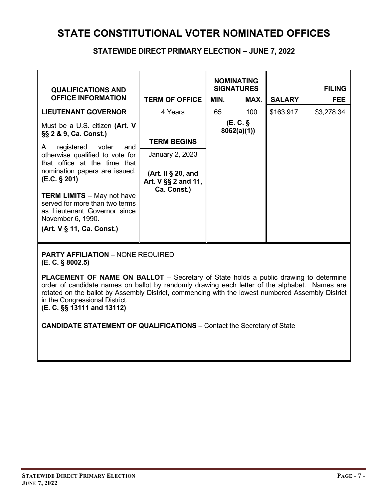#### **STATEWIDE DIRECT PRIMARY ELECTION – JUNE 7, 2022**

| <b>QUALIFICATIONS AND</b><br><b>OFFICE INFORMATION</b>                                                                   | <b>TERM OF OFFICE</b>                                       | MIN.                  | <b>NOMINATING</b><br><b>SIGNATURES</b><br>MAX. | <b>SALARY</b> | <b>FILING</b><br><b>FEE</b> |
|--------------------------------------------------------------------------------------------------------------------------|-------------------------------------------------------------|-----------------------|------------------------------------------------|---------------|-----------------------------|
| <b>LIEUTENANT GOVERNOR</b>                                                                                               | 4 Years                                                     | 65                    | 100                                            | \$163,917     | \$3,278.34                  |
| Must be a U.S. citizen (Art. V<br>§§ 2 & 9, Ca. Const.)                                                                  |                                                             | (E.C. §<br>8062(a)(1) |                                                |               |                             |
| registered<br>voter<br>and<br>A                                                                                          | <b>TERM BEGINS</b>                                          |                       |                                                |               |                             |
| otherwise qualified to vote for                                                                                          | January 2, 2023                                             |                       |                                                |               |                             |
| that office at the time that<br>nomination papers are issued.<br>(E.C. § 201)                                            | (Art. II $\S$ 20, and<br>Art. V §§ 2 and 11,<br>Ca. Const.) |                       |                                                |               |                             |
| <b>TERM LIMITS</b> - May not have<br>served for more than two terms<br>as Lieutenant Governor since<br>November 6, 1990. |                                                             |                       |                                                |               |                             |
| (Art. V § 11, Ca. Const.)                                                                                                |                                                             |                       |                                                |               |                             |

**PARTY AFFILIATION** – NONE REQUIRED **(E. C. § 8002.5)**

**PLACEMENT OF NAME ON BALLOT** – Secretary of State holds a public drawing to determine order of candidate names on ballot by randomly drawing each letter of the alphabet. Names are rotated on the ballot by Assembly District, commencing with the lowest numbered Assembly District in the Congressional District.

**(E. C. §§ 13111 and 13112)**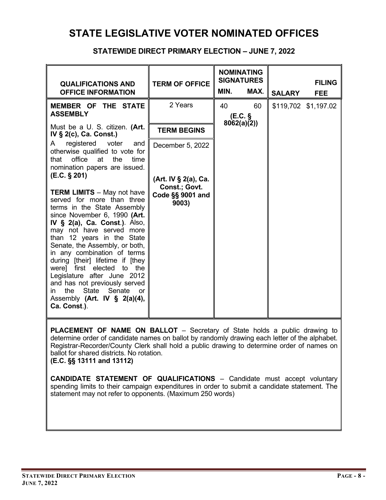### **STATE LEGISLATIVE VOTER NOMINATED OFFICES**

| <b>QUALIFICATIONS AND</b><br><b>OFFICE INFORMATION</b>                                                                                                                                                                                                                                                                                                                                                                                                                                                                                                                                                                                                                         | <b>TERM OF OFFICE</b>                                                                  | <b>NOMINATING</b><br><b>SIGNATURES</b><br>MIN.<br>MAX. | <b>FILING</b><br><b>SALARY</b><br><b>FEE</b> |  |
|--------------------------------------------------------------------------------------------------------------------------------------------------------------------------------------------------------------------------------------------------------------------------------------------------------------------------------------------------------------------------------------------------------------------------------------------------------------------------------------------------------------------------------------------------------------------------------------------------------------------------------------------------------------------------------|----------------------------------------------------------------------------------------|--------------------------------------------------------|----------------------------------------------|--|
| MEMBER OF THE STATE<br><b>ASSEMBLY</b>                                                                                                                                                                                                                                                                                                                                                                                                                                                                                                                                                                                                                                         | 2 Years                                                                                | 60<br>40<br>(E.C. §                                    | \$119,702 \$1,197.02                         |  |
| Must be a U. S. citizen. (Art.<br>IV § 2(c), Ca. Const.)                                                                                                                                                                                                                                                                                                                                                                                                                                                                                                                                                                                                                       | <b>TERM BEGINS</b>                                                                     | 8062(a)(2)                                             |                                              |  |
| registered voter<br>A<br>and<br>otherwise qualified to vote for<br>office<br>at<br>the<br>that<br>time<br>nomination papers are issued.<br>(E.C. § 201)<br><b>TERM LIMITS</b> - May not have<br>served for more than three<br>terms in the State Assembly<br>since November 6, 1990 (Art.<br>IV $\S$ 2(a), Ca. Const.). Also,<br>may not have served more<br>than 12 years in the State<br>Senate, the Assembly, or both,<br>in any combination of terms<br>during [their] lifetime if [they<br>were] first elected to the<br>Legislature after June 2012<br>and has not previously served<br>State Senate<br>the<br>in.<br>or<br>Assembly (Art. IV § 2(a)(4),<br>Ca. Const.). | December 5, 2022<br>(Art. IV § 2(a), Ca.<br>Const.; Govt.<br>Code §§ 9001 and<br>9003) |                                                        |                                              |  |

### **STATEWIDE DIRECT PRIMARY ELECTION – JUNE 7, 2022**

**PLACEMENT OF NAME ON BALLOT** – Secretary of State holds a public drawing to determine order of candidate names on ballot by randomly drawing each letter of the alphabet. Registrar-Recorder/County Clerk shall hold a public drawing to determine order of names on ballot for shared districts. No rotation.

**(E.C. §§ 13111 and 13112)**

**CANDIDATE STATEMENT OF QUALIFICATIONS** – Candidate must accept voluntary spending limits to their campaign expenditures in order to submit a candidate statement. The statement may not refer to opponents. (Maximum 250 words)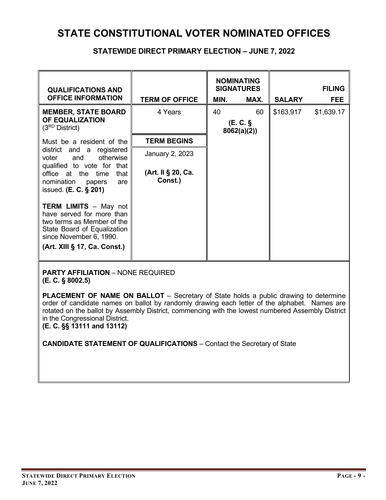#### **STATEWIDE DIRECT PRIMARY ELECTION – JUNE 7, 2022**

| <b>QUALIFICATIONS AND</b><br><b>OFFICE INFORMATION</b>                                                                                            | <b>TERM OF OFFICE</b>         | <b>NOMINATING</b><br><b>SIGNATURES</b><br>MIN. | MAX. | <b>SALARY</b> | <b>FILING</b><br><b>FEE</b> |
|---------------------------------------------------------------------------------------------------------------------------------------------------|-------------------------------|------------------------------------------------|------|---------------|-----------------------------|
| <b>MEMBER, STATE BOARD</b><br><b>OF EQUALIZATION</b><br>$(3^{RD}$ District)                                                                       | 4 Years                       | 40<br>(E.C.<br>8062(a)(2)                      | 60   | \$163,917     | \$1,639.17                  |
| Must be a resident of the                                                                                                                         | <b>TERM BEGINS</b>            |                                                |      |               |                             |
| district and a registered<br>otherwise<br>voter and<br>qualified to vote for that                                                                 | January 2, 2023               |                                                |      |               |                             |
| office at the time<br>that<br>nomination<br>are<br>papers<br>issued. $(E. C. § 201)$                                                              | (Art. II § 20, Ca.<br>Const.) |                                                |      |               |                             |
| <b>TERM LIMITS - May not</b><br>have served for more than<br>two terms as Member of the<br>State Board of Equalization<br>since November 6, 1990. |                               |                                                |      |               |                             |
| (Art. XIII § 17, Ca. Const.)                                                                                                                      |                               |                                                |      |               |                             |

**PARTY AFFILIATION** – NONE REQUIRED **(E. C. § 8002.5)**

**PLACEMENT OF NAME ON BALLOT** – Secretary of State holds a public drawing to determine order of candidate names on ballot by randomly drawing each letter of the alphabet. Names are rotated on the ballot by Assembly District, commencing with the lowest numbered Assembly District in the Congressional District.

**(E. C. §§ 13111 and 13112)**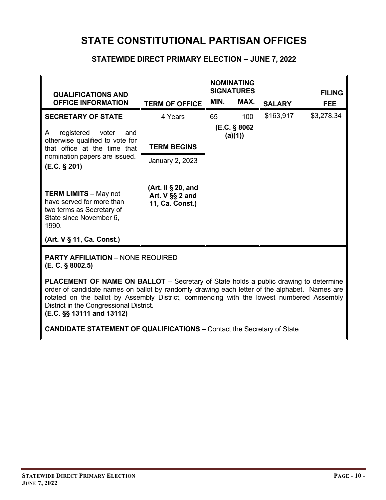### **STATE CONSTITUTIONAL PARTISAN OFFICES**

#### **STATEWIDE DIRECT PRIMARY ELECTION – JUNE 7, 2022**

| <b>QUALIFICATIONS AND</b><br><b>OFFICE INFORMATION</b>                                                                     | <b>TERM OF OFFICE</b>                                      | MIN.                    | <b>NOMINATING</b><br><b>SIGNATURES</b><br>MAX. | <b>SALARY</b> | <b>FILING</b><br><b>FEE</b> |
|----------------------------------------------------------------------------------------------------------------------------|------------------------------------------------------------|-------------------------|------------------------------------------------|---------------|-----------------------------|
| <b>SECRETARY OF STATE</b>                                                                                                  | 4 Years                                                    | 65                      | 100                                            | \$163,917     | \$3,278.34                  |
| registered<br>voter<br>A<br>and                                                                                            |                                                            | (E.C. § 8062<br>(a)(1)) |                                                |               |                             |
| otherwise qualified to vote for<br>that office at the time that                                                            | <b>TERM BEGINS</b>                                         |                         |                                                |               |                             |
| nomination papers are issued.<br>(E.C. § 201)                                                                              | January 2, 2023                                            |                         |                                                |               |                             |
| <b>TERM LIMITS – May not</b><br>have served for more than<br>two terms as Secretary of<br>State since November 6,<br>1990. | (Art. II § 20, and<br>Art. $V$ §§ 2 and<br>11, Ca. Const.) |                         |                                                |               |                             |
| (Art. V § 11, Ca. Const.)                                                                                                  |                                                            |                         |                                                |               |                             |

**PARTY AFFILIATION** – NONE REQUIRED **(E. C. § 8002.5)**

**PLACEMENT OF NAME ON BALLOT** – Secretary of State holds a public drawing to determine order of candidate names on ballot by randomly drawing each letter of the alphabet. Names are rotated on the ballot by Assembly District, commencing with the lowest numbered Assembly District in the Congressional District.

**(E.C. §§ 13111 and 13112)**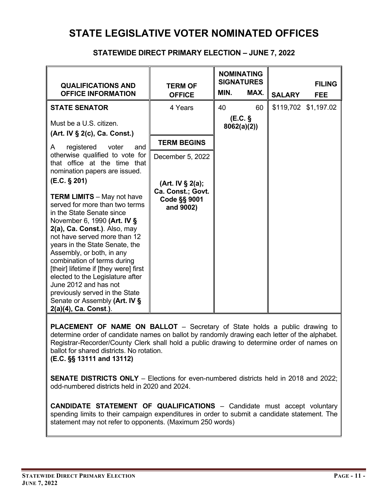### **STATE LEGISLATIVE VOTER NOMINATED OFFICES**

#### **STATEWIDE DIRECT PRIMARY ELECTION – JUNE 7, 2022**

| <b>QUALIFICATIONS AND</b><br><b>OFFICE INFORMATION</b>                                                                                                                                                                                                                                                                                                                                                                                                                                                          | <b>TERM OF</b><br><b>OFFICE</b>                                           | MIN. | <b>NOMINATING</b><br><b>SIGNATURES</b><br>MAX. | <b>SALARY</b> | <b>FILING</b><br><b>FEE</b> |
|-----------------------------------------------------------------------------------------------------------------------------------------------------------------------------------------------------------------------------------------------------------------------------------------------------------------------------------------------------------------------------------------------------------------------------------------------------------------------------------------------------------------|---------------------------------------------------------------------------|------|------------------------------------------------|---------------|-----------------------------|
| <b>STATE SENATOR</b><br>Must be a U.S. citizen.                                                                                                                                                                                                                                                                                                                                                                                                                                                                 | 4 Years                                                                   | 40   | 60<br>(E.C. §                                  |               | \$119,702 \$1,197.02        |
| (Art. IV § 2(c), Ca. Const.)<br>registered voter<br>A<br>and                                                                                                                                                                                                                                                                                                                                                                                                                                                    | <b>TERM BEGINS</b>                                                        |      | 8062(a)(2)                                     |               |                             |
| otherwise qualified to vote for<br>that office at the time that<br>nomination papers are issued.                                                                                                                                                                                                                                                                                                                                                                                                                | December 5, 2022                                                          |      |                                                |               |                             |
| (E.C. § 201)<br><b>TERM LIMITS</b> - May not have<br>served for more than two terms<br>in the State Senate since<br>November 6, 1990 (Art. IV §<br>2(a), Ca. Const.). Also, may<br>not have served more than 12<br>years in the State Senate, the<br>Assembly, or both, in any<br>combination of terms during<br>[their] lifetime if [they were] first<br>elected to the Legislature after<br>June 2012 and has not<br>previously served in the State<br>Senate or Assembly (Art. IV §<br>2(a)(4), Ca. Const.). | (Art. IV § 2(a);<br>Ca. Const.; Govt.<br><b>Code §§ 9001</b><br>and 9002) |      |                                                |               |                             |

**PLACEMENT OF NAME ON BALLOT** – Secretary of State holds a public drawing to determine order of candidate names on ballot by randomly drawing each letter of the alphabet. Registrar-Recorder/County Clerk shall hold a public drawing to determine order of names on ballot for shared districts. No rotation.

**(E.C. §§ 13111 and 13112)**

**SENATE DISTRICTS ONLY** – Elections for even-numbered districts held in 2018 and 2022; odd-numbered districts held in 2020 and 2024.

**CANDIDATE STATEMENT OF QUALIFICATIONS** – Candidate must accept voluntary spending limits to their campaign expenditures in order to submit a candidate statement. The statement may not refer to opponents. (Maximum 250 words)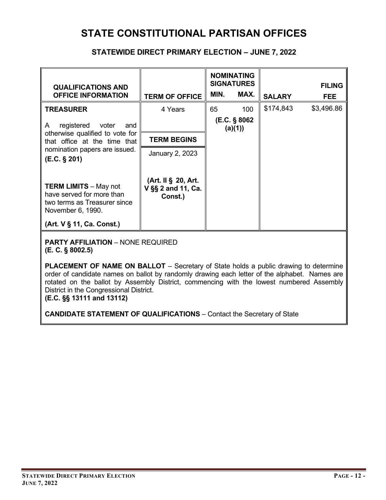### **STATE CONSTITUTIONAL PARTISAN OFFICES**

#### **STATEWIDE DIRECT PRIMARY ELECTION – JUNE 7, 2022**

| <b>QUALIFICATIONS AND</b><br><b>OFFICE INFORMATION</b>                                                         | <b>TERM OF OFFICE</b>                                | MIN.                     | <b>NOMINATING</b><br><b>SIGNATURES</b><br>MAX. | <b>SALARY</b> | <b>FILING</b><br><b>FEE</b> |
|----------------------------------------------------------------------------------------------------------------|------------------------------------------------------|--------------------------|------------------------------------------------|---------------|-----------------------------|
| <b>TREASURER</b>                                                                                               | 4 Years                                              | 65                       | 100                                            | \$174,843     | \$3,496.86                  |
| registered<br>voter<br>A<br>and                                                                                |                                                      | (E.C. § 8062)<br>(a)(1)) |                                                |               |                             |
| otherwise qualified to vote for<br>that office at the time that                                                | <b>TERM BEGINS</b>                                   |                          |                                                |               |                             |
| nomination papers are issued.<br>(E.C. § 201)                                                                  | January 2, 2023                                      |                          |                                                |               |                             |
| <b>TERM LIMITS - May not</b><br>have served for more than<br>two terms as Treasurer since<br>November 6, 1990. | (Art. II § 20, Art.<br>V §§ 2 and 11, Ca.<br>Const.) |                          |                                                |               |                             |
| (Art. V § 11, Ca. Const.)                                                                                      |                                                      |                          |                                                |               |                             |

**PARTY AFFILIATION** – NONE REQUIRED **(E. C. § 8002.5)**

**PLACEMENT OF NAME ON BALLOT** – Secretary of State holds a public drawing to determine order of candidate names on ballot by randomly drawing each letter of the alphabet. Names are rotated on the ballot by Assembly District, commencing with the lowest numbered Assembly District in the Congressional District.

**(E.C. §§ 13111 and 13112)**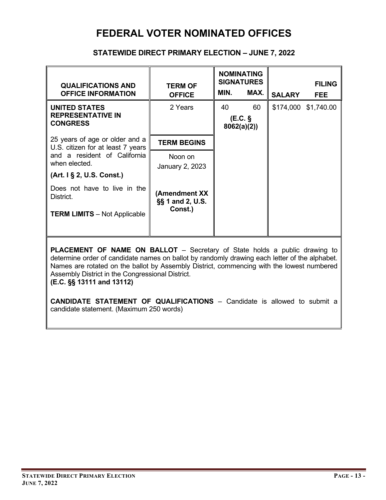### **FEDERAL VOTER NOMINATED OFFICES**

#### **STATEWIDE DIRECT PRIMARY ELECTION – JUNE 7, 2022**

| <b>QUALIFICATIONS AND</b><br><b>OFFICE INFORMATION</b>                           | <b>TERM OF</b><br><b>OFFICE</b>              | MIN.             | <b>NOMINATING</b><br><b>SIGNATURES</b><br>MAX. | <b>SALARY</b> | <b>FILING</b><br><b>FEE</b> |
|----------------------------------------------------------------------------------|----------------------------------------------|------------------|------------------------------------------------|---------------|-----------------------------|
| <b>UNITED STATES</b><br><b>REPRESENTATIVE IN</b><br><b>CONGRESS</b>              | 2 Years                                      | 40<br>8062(a)(2) | 60<br>(EC.                                     | \$174,000     | \$1,740.00                  |
| 25 years of age or older and a<br>U.S. citizen for at least 7 years              | <b>TERM BEGINS</b>                           |                  |                                                |               |                             |
| and a resident of California<br>when elected.                                    | Noon on<br>January 2, 2023                   |                  |                                                |               |                             |
| (Art. 1 § 2, U.S. Const.)                                                        |                                              |                  |                                                |               |                             |
| Does not have to live in the<br>District.<br><b>TERM LIMITS - Not Applicable</b> | (Amendment XX<br>§§ 1 and 2, U.S.<br>Const.) |                  |                                                |               |                             |
|                                                                                  |                                              |                  |                                                |               |                             |

**PLACEMENT OF NAME ON BALLOT** – Secretary of State holds a public drawing to determine order of candidate names on ballot by randomly drawing each letter of the alphabet. Names are rotated on the ballot by Assembly District, commencing with the lowest numbered Assembly District in the Congressional District.

**(E.C. §§ 13111 and 13112)**

**CANDIDATE STATEMENT OF QUALIFICATIONS** – Candidate is allowed to submit a candidate statement. (Maximum 250 words)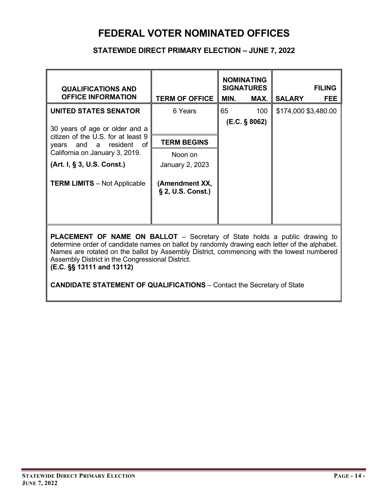### **FEDERAL VOTER NOMINATED OFFICES**

#### **STATEWIDE DIRECT PRIMARY ELECTION – JUNE 7, 2022**

| <b>QUALIFICATIONS AND</b><br><b>OFFICE INFORMATION</b>           | <b>TERM OF OFFICE</b>               | MIN. | <b>NOMINATING</b><br><b>SIGNATURES</b><br>MAX. | <b>SALARY</b>        | <b>FILING</b><br><b>FEE</b> |
|------------------------------------------------------------------|-------------------------------------|------|------------------------------------------------|----------------------|-----------------------------|
| UNITED STATES SENATOR                                            | 6 Years                             | 65   | 100                                            | \$174,000 \$3,480.00 |                             |
| 30 years of age or older and a                                   |                                     |      | (E.C. § 8062)                                  |                      |                             |
| citizen of the U.S. for at least 9<br>and a resident of<br>years | <b>TERM BEGINS</b>                  |      |                                                |                      |                             |
| California on January 3, 2019.                                   | Noon on                             |      |                                                |                      |                             |
| (Art. I, § 3, U.S. Const.)                                       | January 2, 2023                     |      |                                                |                      |                             |
| <b>TERM LIMITS</b> - Not Applicable                              | (Amendment XX,<br>§ 2, U.S. Const.) |      |                                                |                      |                             |

**PLACEMENT OF NAME ON BALLOT** – Secretary of State holds a public drawing to determine order of candidate names on ballot by randomly drawing each letter of the alphabet. Names are rotated on the ballot by Assembly District, commencing with the lowest numbered Assembly District in the Congressional District.

**(E.C. §§ 13111 and 13112)**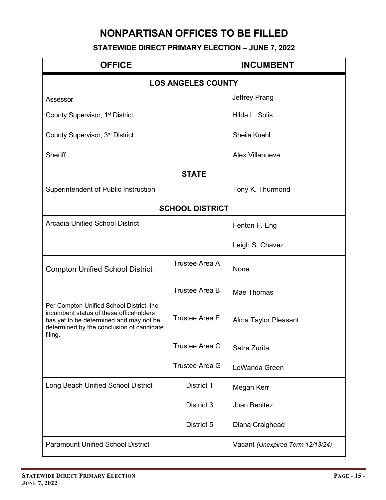## **NONPARTISAN OFFICES TO BE FILLED**

### **STATEWIDE DIRECT PRIMARY ELECTION – JUNE 7, 2022**

| <b>OFFICE</b>                                                                                                                                                                          |                           | <b>INCUMBENT</b>                 |
|----------------------------------------------------------------------------------------------------------------------------------------------------------------------------------------|---------------------------|----------------------------------|
|                                                                                                                                                                                        | <b>LOS ANGELES COUNTY</b> |                                  |
| Assessor                                                                                                                                                                               |                           | Jeffrey Prang                    |
| County Supervisor, 1 <sup>st</sup> District                                                                                                                                            |                           | Hilda L. Solis                   |
| County Supervisor, 3rd District                                                                                                                                                        |                           | Sheila Kuehl                     |
| <b>Sheriff</b>                                                                                                                                                                         |                           | Alex Villanueva                  |
|                                                                                                                                                                                        | <b>STATE</b>              |                                  |
| Superintendent of Public Instruction                                                                                                                                                   |                           | Tony K. Thurmond                 |
|                                                                                                                                                                                        | <b>SCHOOL DISTRICT</b>    |                                  |
| <b>Arcadia Unified School District</b>                                                                                                                                                 |                           | Fenton F. Eng                    |
|                                                                                                                                                                                        |                           | Leigh S. Chavez                  |
| <b>Compton Unified School District</b>                                                                                                                                                 | Trustee Area A            | None                             |
|                                                                                                                                                                                        | <b>Trustee Area B</b>     | Mae Thomas                       |
| Per Compton Unified School District, the<br>incumbent status of these officeholders<br>has yet to be determined and may not be<br>determined by the conclusion of candidate<br>filing. | <b>Trustee Area E</b>     | Alma Taylor Pleasant             |
|                                                                                                                                                                                        | <b>Trustee Area G</b>     | Satra Zurita                     |
|                                                                                                                                                                                        | <b>Trustee Area G</b>     | LoWanda Green                    |
| Long Beach Unified School District                                                                                                                                                     | District 1                | Megan Kerr                       |
|                                                                                                                                                                                        | District 3                | Juan Benitez                     |
|                                                                                                                                                                                        | District 5                | Diana Craighead                  |
| <b>Paramount Unified School District</b>                                                                                                                                               |                           | Vacant (Unexpired Term 12/13/24) |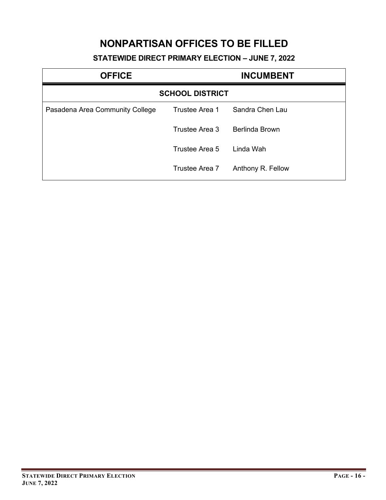### **NONPARTISAN OFFICES TO BE FILLED**

### **STATEWIDE DIRECT PRIMARY ELECTION – JUNE 7, 2022**

| <b>OFFICE</b>                   | <b>INCUMBENT</b>       |                   |  |
|---------------------------------|------------------------|-------------------|--|
|                                 | <b>SCHOOL DISTRICT</b> |                   |  |
| Pasadena Area Community College | Trustee Area 1         | Sandra Chen Lau   |  |
|                                 | Trustee Area 3         | Berlinda Brown    |  |
|                                 | Trustee Area 5         | Linda Wah         |  |
|                                 | Trustee Area 7         | Anthony R. Fellow |  |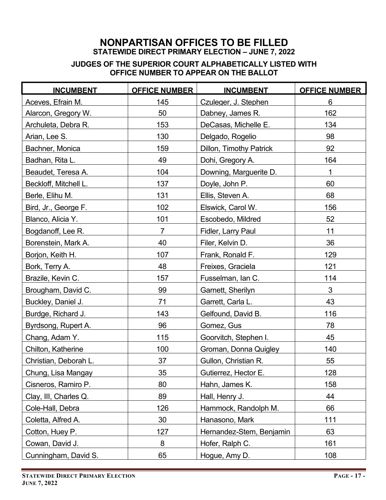#### **JUDGES OF THE SUPERIOR COURT ALPHABETICALLY LISTED WITH OFFICE NUMBER TO APPEAR ON THE BALLOT**

| <b>INCUMBENT</b>      | <b>OFFICE NUMBER</b> | <b>INCUMBENT</b>               | <b>OFFICE NUMBER</b> |
|-----------------------|----------------------|--------------------------------|----------------------|
| Aceves. Efrain M.     | 145                  | Czuleger, J. Stephen           | 6                    |
| Alarcon, Gregory W.   | 50                   | Dabney, James R.               | 162                  |
| Archuleta, Debra R.   | 153                  | DeCasas, Michelle E.           | 134                  |
| Arian, Lee S.         | 130                  | Delgado, Rogelio               | 98                   |
| Bachner, Monica       | 159                  | <b>Dillon, Timothy Patrick</b> | 92                   |
| Badhan, Rita L.       | 49                   | Dohi, Gregory A.               | 164                  |
| Beaudet, Teresa A.    | 104                  | Downing, Marguerite D.         | 1                    |
| Beckloff, Mitchell L. | 137                  | Doyle, John P.                 | 60                   |
| Berle, Elihu M.       | 131                  | Ellis, Steven A.               | 68                   |
| Bird, Jr., George F.  | 102                  | Elswick, Carol W.              | 156                  |
| Blanco, Alicia Y.     | 101                  | Escobedo, Mildred              | 52                   |
| Bogdanoff, Lee R.     | $\overline{7}$       | Fidler, Larry Paul             | 11                   |
| Borenstein, Mark A.   | 40                   | Filer, Kelvin D.               | 36                   |
| Borjon, Keith H.      | 107                  | Frank, Ronald F.               | 129                  |
| Bork, Terry A.        | 48                   | Freixes, Graciela              | 121                  |
| Brazile, Kevin C.     | 157                  | Fusselman, Ian C.              | 114                  |
| Brougham, David C.    | 99                   | Garnett, Sherilyn              | 3                    |
| Buckley, Daniel J.    | 71                   | Garrett, Carla L.              | 43                   |
| Burdge, Richard J.    | 143                  | Gelfound, David B.             | 116                  |
| Byrdsong, Rupert A.   | 96                   | Gomez, Gus                     | 78                   |
| Chang, Adam Y.        | 115                  | Goorvitch, Stephen I.          | 45                   |
| Chilton, Katherine    | 100                  | Groman, Donna Quigley          | 140                  |
| Christian, Deborah L. | 37                   | Gullon, Christian R.           | 55                   |
| Chung, Lisa Mangay    | 35                   | Gutierrez, Hector E.           | 128                  |
| Cisneros, Ramiro P.   | 80                   | Hahn, James K.                 | 158                  |
| Clay, III, Charles Q. | 89                   | Hall, Henry J.                 | 44                   |
| Cole-Hall, Debra      | 126                  | Hammock, Randolph M.           | 66                   |
| Coletta, Alfred A.    | 30                   | Hanasono, Mark                 | 111                  |
| Cotton, Huey P.       | 127                  | Hernandez-Stem, Benjamin       | 63                   |
| Cowan, David J.       | 8                    | Hofer, Ralph C.                | 161                  |
| Cunningham, David S.  | 65                   | Hogue, Amy D.                  | 108                  |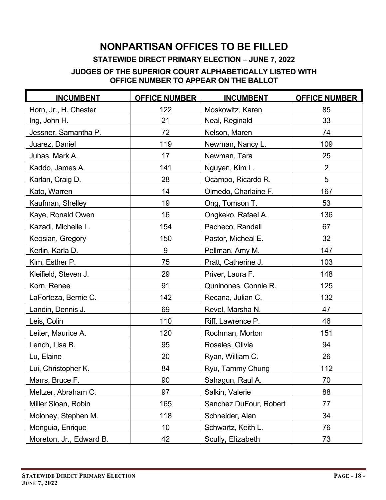### **NONPARTISAN OFFICES TO BE FILLED**

### **STATEWIDE DIRECT PRIMARY ELECTION – JUNE 7, 2022**

#### **JUDGES OF THE SUPERIOR COURT ALPHABETICALLY LISTED WITH OFFICE NUMBER TO APPEAR ON THE BALLOT**

| <b>INCUMBENT</b>        | <b>OFFICE NUMBER</b> | <b>INCUMBENT</b>       | <b>OFFICE NUMBER</b> |  |
|-------------------------|----------------------|------------------------|----------------------|--|
| Horn. Jr., H. Chester   | 122                  | Moskowitz, Karen       | 85                   |  |
| Ing, John H.            | 21                   | Neal, Reginald         | 33                   |  |
| Jessner, Samantha P.    | 72                   | Nelson, Maren          | 74                   |  |
| Juarez, Daniel          | 119                  | Newman, Nancy L.       | 109                  |  |
| Juhas, Mark A.          | 17                   | Newman, Tara           | 25                   |  |
| Kaddo, James A.         | 141                  | Nguyen, Kim L.         | $\overline{2}$       |  |
| Karlan, Craig D.        | 28                   | Ocampo, Ricardo R.     | $5\phantom{.0}$      |  |
| Kato, Warren            | 14                   | Olmedo, Charlaine F.   | 167                  |  |
| Kaufman, Shelley        | 19                   | Ong, Tomson T.         | 53                   |  |
| Kaye, Ronald Owen       | 16                   | Ongkeko, Rafael A.     | 136                  |  |
| Kazadi, Michelle L.     | 154                  | Pacheco, Randall       | 67                   |  |
| Keosian, Gregory        | 150                  | Pastor, Micheal E.     | 32                   |  |
| Kerlin, Karla D.        | 9                    | Pellman, Amy M.        | 147                  |  |
| Kim, Esther P.          | 75                   | Pratt, Catherine J.    | 103                  |  |
| Kleifield, Steven J.    | 29                   | Priver, Laura F.       | 148                  |  |
| Korn, Renee             | 91                   | Quninones, Connie R.   | 125                  |  |
| LaForteza, Bernie C.    | 142                  | Recana, Julian C.      | 132                  |  |
| Landin, Dennis J.       | 69                   | Revel, Marsha N.       | 47                   |  |
| Leis, Colin             | 110                  | Riff, Lawrence P.      | 46                   |  |
| Leiter, Maurice A.      | 120                  | Rochman, Morton        | 151                  |  |
| Lench, Lisa B.          | 95                   | Rosales, Olivia        | 94                   |  |
| Lu, Elaine              | 20                   | Ryan, William C.       | 26                   |  |
| Lui, Christopher K.     | 84                   | Ryu, Tammy Chung       | 112                  |  |
| Marrs, Bruce F.         | 90                   | Sahagun, Raul A.       | 70                   |  |
| Meltzer, Abraham C.     | 97                   | Salkin, Valerie        | 88                   |  |
| Miller Sloan, Robin     | 165                  | Sanchez DuFour, Robert | 77                   |  |
| Moloney, Stephen M.     | 118                  | Schneider, Alan        | 34                   |  |
| Monguia, Enrique        | 10                   | Schwartz, Keith L.     | 76                   |  |
| Moreton, Jr., Edward B. | 42                   | Scully, Elizabeth      | 73                   |  |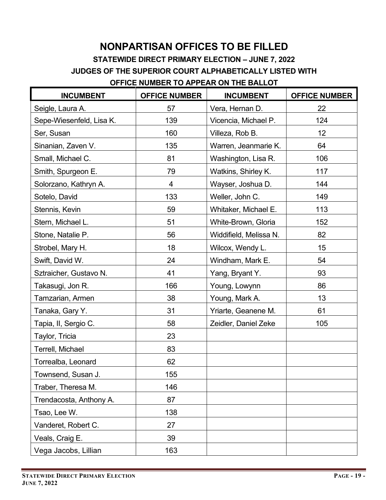# **NONPARTISAN OFFICES TO BE FILLED**

**STATEWIDE DIRECT PRIMARY ELECTION – JUNE 7, 2022**

**JUDGES OF THE SUPERIOR COURT ALPHABETICALLY LISTED WITH**

### **OFFICE NUMBER TO APPEAR ON THE BALLOT**

| <b>INCUMBENT</b>         | <b>OFFICE NUMBER</b> | <b>INCUMBENT</b>       | <b>OFFICE NUMBER</b> |
|--------------------------|----------------------|------------------------|----------------------|
| Seigle, Laura A.         | 57                   | Vera, Hernan D.        | 22                   |
| Sepe-Wiesenfeld, Lisa K. | 139                  | Vicencia, Michael P.   | 124                  |
| Ser, Susan               | 160                  | Villeza, Rob B.        | 12                   |
| Sinanian, Zaven V.       | 135                  | Warren, Jeanmarie K.   | 64                   |
| Small, Michael C.        | 81                   | Washington, Lisa R.    | 106                  |
| Smith, Spurgeon E.       | 79                   | Watkins, Shirley K.    | 117                  |
| Solorzano, Kathryn A.    | 4                    | Wayser, Joshua D.      | 144                  |
| Sotelo, David            | 133                  | Weller, John C.        | 149                  |
| Stennis, Kevin           | 59                   | Whitaker, Michael E.   | 113                  |
| Stern, Michael L.        | 51                   | White-Brown, Gloria    | 152                  |
| Stone, Natalie P.        | 56                   | Widdifield, Melissa N. | 82                   |
| Strobel, Mary H.         | 18                   | Wilcox, Wendy L.       | 15                   |
| Swift, David W.          | 24                   | Windham, Mark E.       | 54                   |
| Sztraicher, Gustavo N.   | 41                   | Yang, Bryant Y.        | 93                   |
| Takasugi, Jon R.         | 166                  | Young, Lowynn          | 86                   |
| Tamzarian, Armen         | 38                   | Young, Mark A.         | 13                   |
| Tanaka, Gary Y.          | 31                   | Yriarte, Geanene M.    | 61                   |
| Tapia, II, Sergio C.     | 58                   | Zeidler, Daniel Zeke   | 105                  |
| Taylor, Tricia           | 23                   |                        |                      |
| Terrell, Michael         | 83                   |                        |                      |
| Torrealba, Leonard       | 62                   |                        |                      |
| Townsend, Susan J.       | 155                  |                        |                      |
| Traber, Theresa M.       | 146                  |                        |                      |
| Trendacosta, Anthony A.  | 87                   |                        |                      |
| Tsao, Lee W.             | 138                  |                        |                      |
| Vanderet, Robert C.      | 27                   |                        |                      |
| Veals, Craig E.          | 39                   |                        |                      |
| Vega Jacobs, Lillian     | 163                  |                        |                      |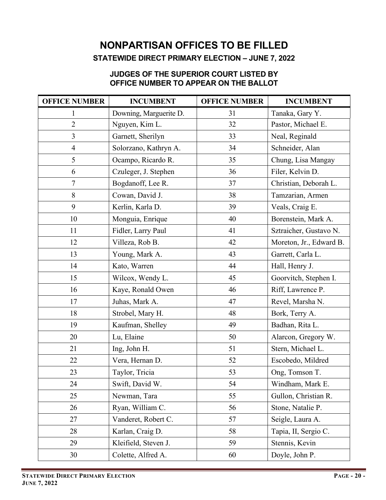#### **JUDGES OF THE SUPERIOR COURT LISTED BY OFFICE NUMBER TO APPEAR ON THE BALLOT**

| <b>OFFICE NUMBER</b> | <b>INCUMBENT</b>       | <b>OFFICE NUMBER</b> | <b>INCUMBENT</b>        |
|----------------------|------------------------|----------------------|-------------------------|
| $\mathbf{1}$         | Downing, Marguerite D. | 31                   | Tanaka, Gary Y.         |
| $\overline{2}$       | Nguyen, Kim L.         | 32                   | Pastor, Michael E.      |
| 3                    | Garnett, Sherilyn      | 33                   | Neal, Reginald          |
| $\overline{4}$       | Solorzano, Kathryn A.  | 34                   | Schneider, Alan         |
| 5                    | Ocampo, Ricardo R.     | 35                   | Chung, Lisa Mangay      |
| 6                    | Czuleger, J. Stephen   | 36                   | Filer, Kelvin D.        |
| $\tau$               | Bogdanoff, Lee R.      | 37                   | Christian, Deborah L.   |
| 8                    | Cowan, David J.        | 38                   | Tamzarian, Armen        |
| 9                    | Kerlin, Karla D.       | 39                   | Veals, Craig E.         |
| 10                   | Monguia, Enrique       | 40                   | Borenstein, Mark A.     |
| 11                   | Fidler, Larry Paul     | 41                   | Sztraicher, Gustavo N.  |
| 12                   | Villeza, Rob B.        | 42                   | Moreton, Jr., Edward B. |
| 13                   | Young, Mark A.         | 43                   | Garrett, Carla L.       |
| 14                   | Kato, Warren           | 44                   | Hall, Henry J.          |
| 15                   | Wilcox, Wendy L.       | 45                   | Goorvitch, Stephen I.   |
| 16                   | Kaye, Ronald Owen      | 46                   | Riff, Lawrence P.       |
| 17                   | Juhas, Mark A.         | 47                   | Revel, Marsha N.        |
| 18                   | Strobel, Mary H.       | 48                   | Bork, Terry A.          |
| 19                   | Kaufman, Shelley       | 49                   | Badhan, Rita L.         |
| 20                   | Lu, Elaine             | 50                   | Alarcon, Gregory W.     |
| 21                   | Ing, John H.           | 51                   | Stern, Michael L.       |
| 22                   | Vera, Hernan D.        | 52                   | Escobedo, Mildred       |
| 23                   | Taylor, Tricia         | 53                   | Ong, Tomson T.          |
| 24                   | Swift, David W.        | 54                   | Windham, Mark E.        |
| 25                   | Newman, Tara           | 55                   | Gullon, Christian R.    |
| 26                   | Ryan, William C.       | 56                   | Stone, Natalie P.       |
| 27                   | Vanderet, Robert C.    | 57                   | Seigle, Laura A.        |
| 28                   | Karlan, Craig D.       | 58                   | Tapia, II, Sergio C.    |
| 29                   | Kleifield, Steven J.   | 59                   | Stennis, Kevin          |
| 30                   | Colette, Alfred A.     | 60                   | Doyle, John P.          |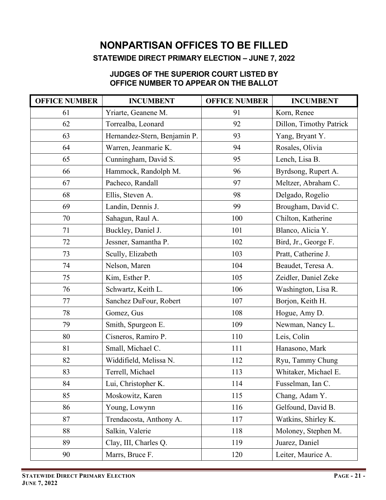## **JUDGES OF THE SUPERIOR COURT LISTED BY**

## **OFFICE NUMBER TO APPEAR ON THE BALLOT**

| <b>OFFICE NUMBER</b> | <b>INCUMBENT</b>             | <b>OFFICE NUMBER</b> | <b>INCUMBENT</b>        |
|----------------------|------------------------------|----------------------|-------------------------|
| 61                   | Yriarte, Geanene M.          | 91                   | Korn, Renee             |
| 62                   | Torrealba, Leonard           | 92                   | Dillon, Timothy Patrick |
| 63                   | Hernandez-Stern, Benjamin P. | 93                   | Yang, Bryant Y.         |
| 64                   | Warren, Jeanmarie K.         | 94                   | Rosales, Olivia         |
| 65                   | Cunningham, David S.         | 95                   | Lench, Lisa B.          |
| 66                   | Hammock, Randolph M.         | 96                   | Byrdsong, Rupert A.     |
| 67                   | Pacheco, Randall             | 97                   | Meltzer, Abraham C.     |
| 68                   | Ellis, Steven A.             | 98                   | Delgado, Rogelio        |
| 69                   | Landin, Dennis J.            | 99                   | Brougham, David C.      |
| 70                   | Sahagun, Raul A.             | 100                  | Chilton, Katherine      |
| 71                   | Buckley, Daniel J.           | 101                  | Blanco, Alicia Y.       |
| 72                   | Jessner, Samantha P.         | 102                  | Bird, Jr., George F.    |
| 73                   | Scully, Elizabeth            | 103                  | Pratt, Catherine J.     |
| 74                   | Nelson, Maren                | 104                  | Beaudet, Teresa A.      |
| 75                   | Kim, Esther P.               | 105                  | Zeidler, Daniel Zeke    |
| 76                   | Schwartz, Keith L.           | 106                  | Washington, Lisa R.     |
| 77                   | Sanchez DuFour, Robert       | 107                  | Borjon, Keith H.        |
| 78                   | Gomez, Gus                   | 108                  | Hogue, Amy D.           |
| 79                   | Smith, Spurgeon E.           | 109                  | Newman, Nancy L.        |
| 80                   | Cisneros, Ramiro P.          | 110                  | Leis, Colin             |
| 81                   | Small, Michael C.            | 111                  | Hanasono, Mark          |
| 82                   | Widdifield, Melissa N.       | 112                  | Ryu, Tammy Chung        |
| 83                   | Terrell, Michael             | 113                  | Whitaker, Michael E.    |
| 84                   | Lui, Christopher K.          | 114                  | Fusselman, Ian C.       |
| 85                   | Moskowitz, Karen             | 115                  | Chang, Adam Y.          |
| 86                   | Young, Lowynn                | 116                  | Gelfound, David B.      |
| 87                   | Trendacosta, Anthony A.      | 117                  | Watkins, Shirley K.     |
| 88                   | Salkin, Valerie              | 118                  | Moloney, Stephen M.     |
| 89                   | Clay, III, Charles Q.        | 119                  | Juarez, Daniel          |
| 90                   | Marrs, Bruce F.              | 120                  | Leiter, Maurice A.      |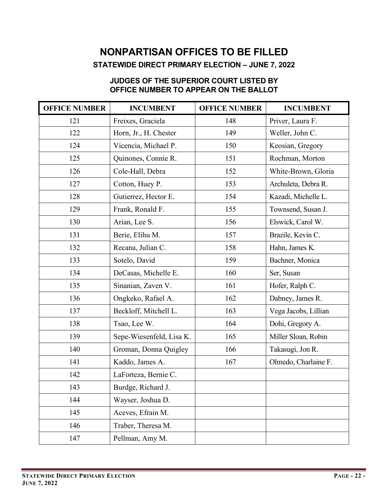### **JUDGES OF THE SUPERIOR COURT LISTED BY OFFICE NUMBER TO APPEAR ON THE BALLOT**

| <b>OFFICE NUMBER</b> | <b>INCUMBENT</b>         | <b>OFFICE NUMBER</b> | <b>INCUMBENT</b>     |
|----------------------|--------------------------|----------------------|----------------------|
| 121                  | Freixes, Graciela        | 148                  | Priver, Laura F.     |
| 122                  | Horn, Jr., H. Chester    | 149                  | Weller, John C.      |
| 124                  | Vicencia, Michael P.     | 150                  | Keosian, Gregory     |
| 125                  | Quinones, Connie R.      | 151                  | Rochman, Morton      |
| 126                  | Cole-Hall, Debra         | 152                  | White-Brown, Gloria  |
| 127                  | Cotton, Huey P.          | 153                  | Archuleta, Debra R.  |
| 128                  | Gutierrez, Hector E.     | 154                  | Kazadi, Michelle L.  |
| 129                  | Frank, Ronald F.         | 155                  | Townsend, Susan J.   |
| 130                  | Arian, Lee S.            | 156                  | Elswick, Carol W.    |
| 131                  | Berie, Elihu M.          | 157                  | Brazile, Kevin C.    |
| 132                  | Recana, Julian C.        | 158                  | Hahn, James K.       |
| 133                  | Sotelo, David            | 159                  | Bachner, Monica      |
| 134                  | DeCasas, Michelle E.     | 160                  | Ser, Susan           |
| 135                  | Sinanian, Zaven V.       | 161                  | Hofer, Ralph C.      |
| 136                  | Ongkeko, Rafael A.       | 162                  | Dabney, James R.     |
| 137                  | Beckloff, Mitchell L.    | 163                  | Vega Jacobs, Lillian |
| 138                  | Tsao, Lee W.             | 164                  | Dohi, Gregory A.     |
| 139                  | Sepe-Wiesenfeld, Lisa K. | 165                  | Miller Sloan, Robin  |
| 140                  | Groman, Donna Quigley    | 166                  | Takasugi, Jon R.     |
| 141                  | Kaddo, James A.          | 167                  | Olmedo, Charlaine F. |
| 142                  | LaForteza, Bernie C.     |                      |                      |
| 143                  | Burdge, Richard J.       |                      |                      |
| 144                  | Wayser, Joshua D.        |                      |                      |
| 145                  | Aceves, Efrain M.        |                      |                      |
| 146                  | Traber, Theresa M.       |                      |                      |
| 147                  | Pellman, Amy M.          |                      |                      |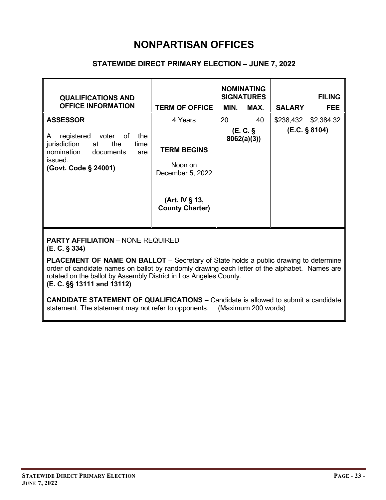### **STATEWIDE DIRECT PRIMARY ELECTION – JUNE 7, 2022**

| <b>QUALIFICATIONS AND</b><br><b>OFFICE INFORMATION</b>                                                 | <b>TERM OF OFFICE</b>                             | <b>NOMINATING</b><br><b>SIGNATURES</b><br>MIN.<br>MAX. | <b>FILING</b><br><b>SALARY</b><br><b>FEE</b> |
|--------------------------------------------------------------------------------------------------------|---------------------------------------------------|--------------------------------------------------------|----------------------------------------------|
| <b>ASSESSOR</b><br>registered voter of<br>the<br>A                                                     | 4 Years                                           | 20<br>40<br>(E.C. §<br>8062(a)(3)                      | \$238,432 \$2,384.32<br>(E.C. § 8104)        |
| jurisdiction<br>at<br>the<br>time<br>nomination<br>documents<br>are<br>issued.<br>(Govt. Code § 24001) | <b>TERM BEGINS</b><br>Noon on<br>December 5, 2022 |                                                        |                                              |
|                                                                                                        | (Art. IV § 13,<br><b>County Charter)</b>          |                                                        |                                              |

**PARTY AFFILIATION** – NONE REQUIRED

**(E. C. § 334)**

**PLACEMENT OF NAME ON BALLOT** – Secretary of State holds a public drawing to determine order of candidate names on ballot by randomly drawing each letter of the alphabet. Names are rotated on the ballot by Assembly District in Los Angeles County.

**(E. C. §§ 13111 and 13112)**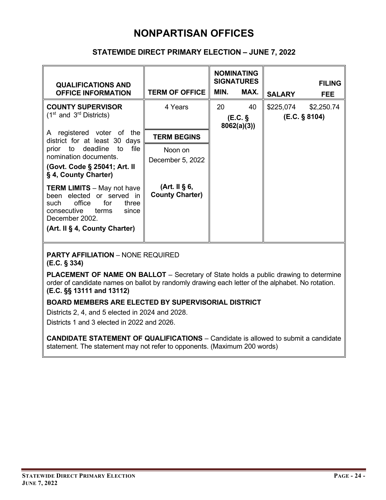#### **STATEWIDE DIRECT PRIMARY ELECTION – JUNE 7, 2022**

| <b>QUALIFICATIONS AND</b><br><b>OFFICE INFORMATION</b>                                                                                                                               | <b>TERM OF OFFICE</b>                             | MIN. | <b>NOMINATING</b><br><b>SIGNATURES</b><br>MAX. | <b>SALARY</b> | <b>FILING</b><br><b>FEE</b> |
|--------------------------------------------------------------------------------------------------------------------------------------------------------------------------------------|---------------------------------------------------|------|------------------------------------------------|---------------|-----------------------------|
| <b>COUNTY SUPERVISOR</b><br>$(1st$ and $3rd$ Districts)                                                                                                                              | 4 Years                                           | 20   | 40<br>(E.C. §<br>8062(a)(3)                    | \$225,074     | \$2,250.74<br>(E.C. § 8104) |
| registered voter of the<br>A<br>district for at least 30 days<br>file<br>prior to deadline to<br>nomination documents.<br>(Govt. Code § 25041; Art. II<br>§ 4, County Charter)       | <b>TERM BEGINS</b><br>Noon on<br>December 5, 2022 |      |                                                |               |                             |
| <b>TERM LIMITS</b> - May not have<br>been elected or served in<br>office<br>for<br>three<br>such<br>consecutive<br>terms<br>since<br>December 2002.<br>(Art. II § 4, County Charter) | (Art. II $\S$ 6,<br><b>County Charter)</b>        |      |                                                |               |                             |

**PARTY AFFILIATION** – NONE REQUIRED **(E.C. § 334)**

**PLACEMENT OF NAME ON BALLOT** – Secretary of State holds a public drawing to determine order of candidate names on ballot by randomly drawing each letter of the alphabet. No rotation. **(E.C. §§ 13111 and 13112)**

#### **BOARD MEMBERS ARE ELECTED BY SUPERVISORIAL DISTRICT**

Districts 2, 4, and 5 elected in 2024 and 2028.

Districts 1 and 3 elected in 2022 and 2026.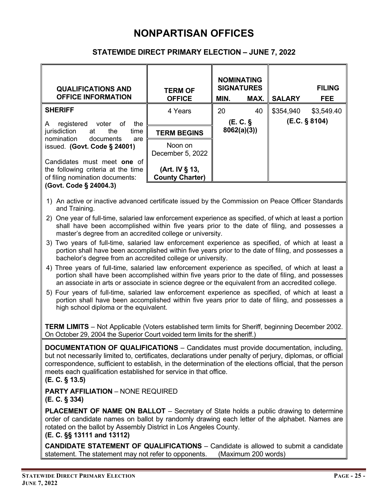#### **STATEWIDE DIRECT PRIMARY ELECTION – JUNE 7, 2022**

| <b>QUALIFICATIONS AND</b><br><b>OFFICE INFORMATION</b>                                                                                       | <b>TERM OF</b><br><b>OFFICE</b>          | <b>NOMINATING</b><br><b>SIGNATURES</b><br>MAX.<br>MIN. |    | <b>SALARY</b> | <b>FILING</b><br>FEE. |
|----------------------------------------------------------------------------------------------------------------------------------------------|------------------------------------------|--------------------------------------------------------|----|---------------|-----------------------|
| <b>SHERIFF</b>                                                                                                                               | 4 Years                                  | 20                                                     | 40 | \$354,940     | \$3,549.40            |
| registered<br>voter of<br>the<br>A<br>jurisdiction<br>at at<br>the<br>time<br>nomination<br>documents<br>are<br>issued. (Govt. Code § 24001) |                                          | (E.C. §<br>8062(a)(3)                                  |    | (E.C. § 8104) |                       |
|                                                                                                                                              | <b>TERM BEGINS</b>                       |                                                        |    |               |                       |
|                                                                                                                                              | Noon on<br>December 5, 2022              |                                                        |    |               |                       |
| Candidates must meet one of<br>the following criteria at the time<br>of filing nomination documents:                                         | (Art. IV § 13,<br><b>County Charter)</b> |                                                        |    |               |                       |
| (Govt. Code § 24004.3)                                                                                                                       |                                          |                                                        |    |               |                       |

- 1) An active or inactive advanced certificate issued by the Commission on Peace Officer Standards and Training.
- 2) One year of full-time, salaried law enforcement experience as specified, of which at least a portion shall have been accomplished within five years prior to the date of filing, and possesses a master's degree from an accredited college or university.
- 3) Two years of full-time, salaried law enforcement experience as specified, of which at least a portion shall have been accomplished within five years prior to the date of filing, and possesses a bachelor's degree from an accredited college or university.
- 4) Three years of full-time, salaried law enforcement experience as specified, of which at least a portion shall have been accomplished within five years prior to the date of filing, and possesses an associate in arts or associate in science degree or the equivalent from an accredited college.
- 5) Four years of full-time, salaried law enforcement experience as specified, of which at least a portion shall have been accomplished within five years prior to date of filing, and possesses a high school diploma or the equivalent.

**TERM LIMITS** – Not Applicable (Voters established term limits for Sheriff, beginning December 2002. On October 29, 2004 the Superior Court voided term limits for the sheriff.)

**DOCUMENTATION OF QUALIFICATIONS** – Candidates must provide documentation, including, but not necessarily limited to, certificates, declarations under penalty of perjury, diplomas, or official correspondence, sufficient to establish, in the determination of the elections official, that the person meets each qualification established for service in that office.

**(E. C. § 13.5)**

**PARTY AFFILIATION** – NONE REQUIRED **(E. C. § 334)**

**PLACEMENT OF NAME ON BALLOT** – Secretary of State holds a public drawing to determine order of candidate names on ballot by randomly drawing each letter of the alphabet. Names are rotated on the ballot by Assembly District in Los Angeles County.

**(E. C. §§ 13111 and 13112)**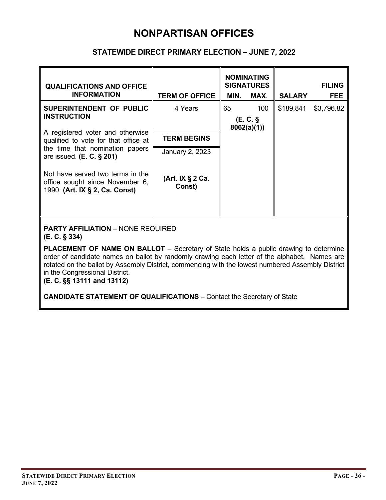#### **STATEWIDE DIRECT PRIMARY ELECTION – JUNE 7, 2022**

| <b>QUALIFICATIONS AND OFFICE</b><br><b>INFORMATION</b>                                                                                                                                                                                                                                     | <b>TERM OF OFFICE</b>      | MIN.                               | <b>NOMINATING</b><br><b>SIGNATURES</b><br>MAX. | <b>SALARY</b> | <b>FILING</b><br><b>FEE</b> |  |
|--------------------------------------------------------------------------------------------------------------------------------------------------------------------------------------------------------------------------------------------------------------------------------------------|----------------------------|------------------------------------|------------------------------------------------|---------------|-----------------------------|--|
| SUPERINTENDENT OF PUBLIC<br><b>INSTRUCTION</b>                                                                                                                                                                                                                                             | 4 Years                    | 65<br>100<br>(E.C. §<br>8062(a)(1) |                                                | \$189,841     | \$3,796.82                  |  |
| A registered voter and otherwise<br>qualified to vote for that office at<br>the time that nomination papers<br>are issued. (E. C. § 201)                                                                                                                                                   | <b>TERM BEGINS</b>         |                                    |                                                |               |                             |  |
|                                                                                                                                                                                                                                                                                            | January 2, 2023            |                                    |                                                |               |                             |  |
| Not have served two terms in the<br>office sought since November 6,<br>1990. (Art. IX § 2, Ca. Const)                                                                                                                                                                                      | (Art. IX § 2 Ca.<br>Const) |                                    |                                                |               |                             |  |
|                                                                                                                                                                                                                                                                                            |                            |                                    |                                                |               |                             |  |
| <b>PARTY AFFILIATION - NONE REQUIRED</b><br>$(E. C. \S 334)$                                                                                                                                                                                                                               |                            |                                    |                                                |               |                             |  |
| PLACEMENT OF NAME ON BALLOT - Secretary of State holds a public drawing to determine<br>order of candidate names on ballot by randomly drawing each letter of the alphabet. Names are<br>rotated on the ballot by Assembly District, commencing with the lowest numbered Assembly District |                            |                                    |                                                |               |                             |  |

in the Congressional District. **(E. C. §§ 13111 and 13112)**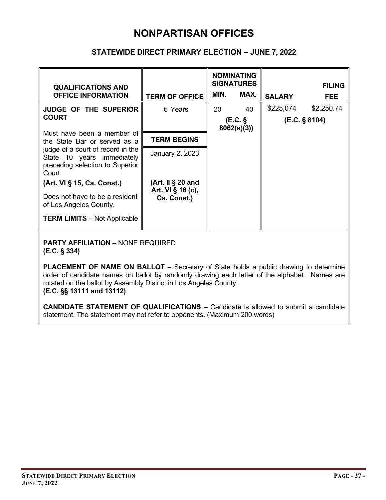#### **STATEWIDE DIRECT PRIMARY ELECTION – JUNE 7, 2022**

| <b>QUALIFICATIONS AND</b><br><b>OFFICE INFORMATION</b>                                                       | <b>TERM OF OFFICE</b>               | MIN.                 | <b>NOMINATING</b><br><b>SIGNATURES</b><br>MAX. | <b>SALARY</b> | <b>FILING</b><br><b>FEE</b> |  |  |
|--------------------------------------------------------------------------------------------------------------|-------------------------------------|----------------------|------------------------------------------------|---------------|-----------------------------|--|--|
| <b>JUDGE OF THE SUPERIOR</b>                                                                                 | 6 Years                             | 20                   | 40                                             | \$225,074     | \$2,250.74                  |  |  |
| <b>COURT</b>                                                                                                 |                                     | (EC.S)<br>8062(a)(3) |                                                |               | (E.C. § 8104)               |  |  |
| Must have been a member of<br>the State Bar or served as a                                                   | <b>TERM BEGINS</b>                  |                      |                                                |               |                             |  |  |
| judge of a court of record in the<br>State 10 years immediately<br>preceding selection to Superior<br>Court. | January 2, 2023                     |                      |                                                |               |                             |  |  |
| (Art. VI § 15, Ca. Const.)                                                                                   | (Art. II $\S$ 20 and                |                      |                                                |               |                             |  |  |
| Does not have to be a resident<br>of Los Angeles County.                                                     | Art. VI $\S$ 16 (c),<br>Ca. Const.) |                      |                                                |               |                             |  |  |
| <b>TERM LIMITS</b> – Not Applicable                                                                          |                                     |                      |                                                |               |                             |  |  |
|                                                                                                              |                                     |                      |                                                |               |                             |  |  |

**PARTY AFFILIATION** – NONE REQUIRED **(E.C. § 334)**

**PLACEMENT OF NAME ON BALLOT** – Secretary of State holds a public drawing to determine order of candidate names on ballot by randomly drawing each letter of the alphabet. Names are rotated on the ballot by Assembly District in Los Angeles County. **(E.C. §§ 13111 and 13112)**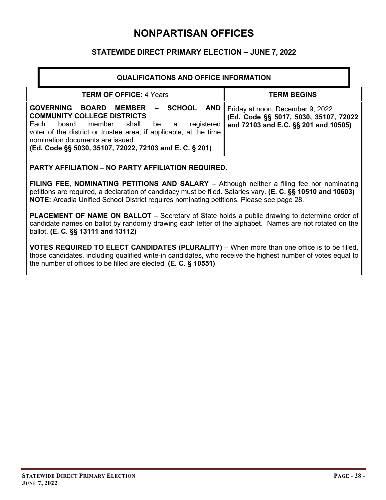#### **STATEWIDE DIRECT PRIMARY ELECTION – JUNE 7, 2022**

| <b>QUALIFICATIONS AND OFFICE INFORMATION</b>                                                                                                                                                                                                                                                                                                    |                                                                                                                    |  |  |  |
|-------------------------------------------------------------------------------------------------------------------------------------------------------------------------------------------------------------------------------------------------------------------------------------------------------------------------------------------------|--------------------------------------------------------------------------------------------------------------------|--|--|--|
| <b>TERM OF OFFICE: 4 Years</b>                                                                                                                                                                                                                                                                                                                  | <b>TERM BEGINS</b>                                                                                                 |  |  |  |
| <b>GOVERNING</b><br>AND I<br><b>SCHOOL</b><br><b>BOARD</b><br><b>MEMBER</b><br><b>COMMUNITY COLLEGE DISTRICTS</b><br>registered<br>Each<br>shall<br>be<br>board member<br>a<br>voter of the district or trustee area, if applicable, at the time<br>nomination documents are issued.<br>(Ed. Code §§ 5030, 35107, 72022, 72103 and E. C. § 201) | Friday at noon, December 9, 2022<br>(Ed. Code §§ 5017, 5030, 35107, 72022)<br>and 72103 and E.C. §§ 201 and 10505) |  |  |  |

#### **PARTY AFFILIATION – NO PARTY AFFILIATION REQUIRED.**

**FILING FEE, NOMINATING PETITIONS AND SALARY** – Although neither a filing fee nor nominating petitions are required, a declaration of candidacy must be filed. Salaries vary. **(E. C. §§ 10510 and 10603) NOTE:** Arcadia Unified School District requires nominating petitions. Please see page 28.

**PLACEMENT OF NAME ON BALLOT** – Secretary of State holds a public drawing to determine order of candidate names on ballot by randomly drawing each letter of the alphabet. Names are not rotated on the ballot. **(E. C. §§ 13111 and 13112)**

**VOTES REQUIRED TO ELECT CANDIDATES (PLURALITY)** – When more than one office is to be filled, those candidates, including qualified write-in candidates, who receive the highest number of votes equal to the number of offices to be filled are elected. **(E. C. § 10551)**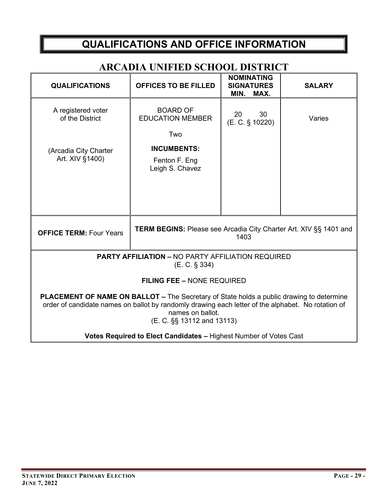## **QUALIFICATIONS AND OFFICE INFORMATION**

### **ARCADIA UNIFIED SCHOOL DISTRICT**

| <b>QUALIFICATIONS</b>                                                                                                                                                                                                                                   | <b>OFFICES TO BE FILLED</b>                | <b>NOMINATING</b><br><b>SIGNATURES</b><br>MAX.<br>MIN. | <b>SALARY</b> |  |  |
|---------------------------------------------------------------------------------------------------------------------------------------------------------------------------------------------------------------------------------------------------------|--------------------------------------------|--------------------------------------------------------|---------------|--|--|
| A registered voter<br>of the District                                                                                                                                                                                                                   | <b>BOARD OF</b><br><b>EDUCATION MEMBER</b> | 20<br>30<br>(E. C. § 10220)                            | Varies        |  |  |
|                                                                                                                                                                                                                                                         | Two                                        |                                                        |               |  |  |
| (Arcadia City Charter                                                                                                                                                                                                                                   | <b>INCUMBENTS:</b>                         |                                                        |               |  |  |
| Art. XIV §1400)                                                                                                                                                                                                                                         | Fenton F. Eng<br>Leigh S. Chavez           |                                                        |               |  |  |
|                                                                                                                                                                                                                                                         |                                            |                                                        |               |  |  |
|                                                                                                                                                                                                                                                         |                                            |                                                        |               |  |  |
|                                                                                                                                                                                                                                                         |                                            |                                                        |               |  |  |
| <b>TERM BEGINS:</b> Please see Arcadia City Charter Art. XIV §§ 1401 and<br><b>OFFICE TERM: Four Years</b><br>1403                                                                                                                                      |                                            |                                                        |               |  |  |
| <b>PARTY AFFILIATION - NO PARTY AFFILIATION REQUIRED</b><br>$(E. C. \S 334)$                                                                                                                                                                            |                                            |                                                        |               |  |  |
| <b>FILING FEE - NONE REQUIRED</b>                                                                                                                                                                                                                       |                                            |                                                        |               |  |  |
| <b>PLACEMENT OF NAME ON BALLOT – The Secretary of State holds a public drawing to determine</b><br>order of candidate names on ballot by randomly drawing each letter of the alphabet. No rotation of<br>names on ballot.<br>(E. C. §§ 13112 and 13113) |                                            |                                                        |               |  |  |
| Votes Required to Elect Candidates - Highest Number of Votes Cast                                                                                                                                                                                       |                                            |                                                        |               |  |  |